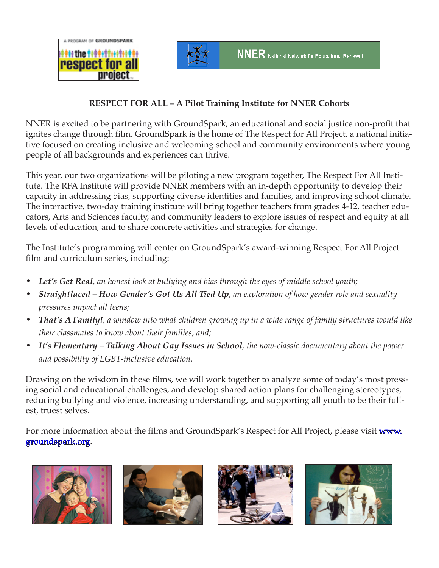



## **RESPECT FOR ALL – A Pilot Training Institute for NNER Cohorts**

NNER is excited to be partnering with GroundSpark, an educational and social justice non-profit that ignites change through film. GroundSpark is the home of The Respect for All Project, a national initiative focused on creating inclusive and welcoming school and community environments where young people of all backgrounds and experiences can thrive.

This year, our two organizations will be piloting a new program together, The Respect For All Institute. The RFA Institute will provide NNER members with an in-depth opportunity to develop their capacity in addressing bias, supporting diverse identities and families, and improving school climate. The interactive, two-day training institute will bring together teachers from grades 4-12, teacher educators, Arts and Sciences faculty, and community leaders to explore issues of respect and equity at all levels of education, and to share concrete activities and strategies for change.

The Institute's programming will center on GroundSpark's award-winning Respect For All Project film and curriculum series, including:

- *Let's Get Real, an honest look at bullying and bias through the eyes of middle school youth;*
- *Straightlaced How Gender's Got Us All Tied Up, an exploration of how gender role and sexuality pressures impact all teens;*
- *That's A Family!*, a window into what children growing up in a wide range of family structures would like *their classmates to know about their families, and;*
- *It's Elementary Talking About Gay Issues in School, the now-classic documentary about the power and possibility of LGBT-inclusive education.*

Drawing on the wisdom in these films, we will work together to analyze some of today's most pressing social and educational challenges, and develop shared action plans for challenging stereotypes, reducing bullying and violence, increasing understanding, and supporting all youth to be their fullest, truest selves.

For more information about the films and GroundSpark's Respect for All Project, please visit **www.** groundspark.org.







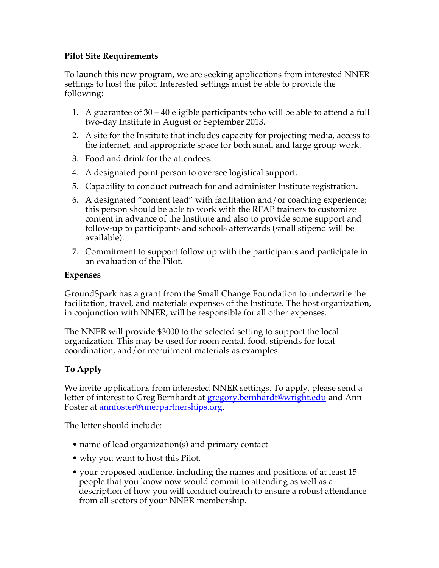## **Pilot Site Requirements**

To launch this new program, we are seeking applications from interested NNER settings to host the pilot. Interested settings must be able to provide the following:

- 1. A guarantee of 30 40 eligible participants who will be able to attend a full two-day Institute in August or September 2013.
- 2. A site for the Institute that includes capacity for projecting media, access to the internet, and appropriate space for both small and large group work.
- 3. Food and drink for the attendees.
- 4. A designated point person to oversee logistical support.
- 5. Capability to conduct outreach for and administer Institute registration.
- 6. A designated "content lead" with facilitation and/or coaching experience; this person should be able to work with the RFAP trainers to customize content in advance of the Institute and also to provide some support and follow-up to participants and schools afterwards (small stipend will be available).
- 7. Commitment to support follow up with the participants and participate in an evaluation of the Pilot.

### **Expenses**

GroundSpark has a grant from the Small Change Foundation to underwrite the facilitation, travel, and materials expenses of the Institute. The host organization, in conjunction with NNER, will be responsible for all other expenses.

The NNER will provide \$3000 to the selected setting to support the local organization. This may be used for room rental, food, stipends for local coordination, and/or recruitment materials as examples.

# **To Apply**

We invite applications from interested NNER settings. To apply, please send a letter of interest to Greg Bernhardt at gregory.bernhardt@wright.edu and Ann Foster at annfoster@nnerpartnerships.org.

The letter should include:

- name of lead organization(s) and primary contact
- why you want to host this Pilot.
- your proposed audience, including the names and positions of at least 15 people that you know now would commit to attending as well as a description of how you will conduct outreach to ensure a robust attendance from all sectors of your NNER membership.